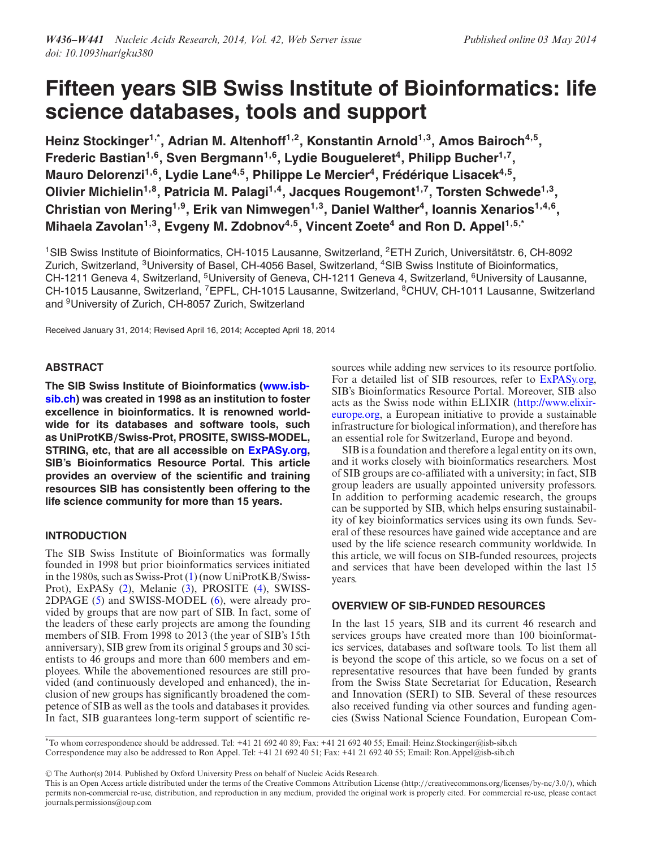# **Fifteen years SIB Swiss Institute of Bioinformatics: life science databases, tools and support**

Heinz Stockinger<sup>1,\*</sup>, Adrian M. Altenhoff<sup>1,2</sup>, Konstantin Arnold<sup>1,3</sup>, Amos Bairoch<sup>4,5</sup>, Frederic Bastian<sup>1,6</sup>, Sven Bergmann<sup>1,6</sup>, Lydie Bougueleret<sup>4</sup>, Philipp Bucher<sup>1,7</sup>, **Mauro Delorenzi<sup>1,6</sup>, Lydie Lane<sup>4,5</sup>, Philippe Le Mercier<sup>4</sup>, Frédérique Lisacek<sup>4,5</sup>,** Olivier Michielin<sup>1,8</sup>, Patricia M. Palagi<sup>1,4</sup>, Jacques Rougemont<sup>1,7</sup>, Torsten Schwede<sup>1,3</sup>, Christian von Mering<sup>1,9</sup>, Erik van Nimwegen<sup>1,3</sup>, Daniel Walther<sup>4</sup>, Ioannis Xenarios<sup>1,4,6</sup>, Mihaela Zavolan<sup>1,3</sup>, Evgeny M. Zdobnov<sup>4,5</sup>, Vincent Zoete<sup>4</sup> and Ron D. Appel<sup>1,5,\*</sup>

<sup>1</sup>SIB Swiss Institute of Bioinformatics, CH-1015 Lausanne, Switzerland, <sup>2</sup>ETH Zurich, Universitätstr. 6, CH-8092 Zurich, Switzerland, 3University of Basel, CH-4056 Basel, Switzerland, 4SIB Swiss Institute of Bioinformatics, CH-1211 Geneva 4, Switzerland, <sup>5</sup>University of Geneva, CH-1211 Geneva 4, Switzerland, <sup>6</sup>University of Lausanne, CH-1015 Lausanne, Switzerland, 7EPFL, CH-1015 Lausanne, Switzerland, 8CHUV, CH-1011 Lausanne, Switzerland and 9University of Zurich, CH-8057 Zurich, Switzerland

Received January 31, 2014; Revised April 16, 2014; Accepted April 18, 2014

# **ABSTRACT**

**The SIB Swiss Institute of Bioinformatics (www.isb[sib.ch\) was created in 1998 as an institution to foster](http://www.isb-sib.ch) excellence in bioinformatics. It is renowned worldwide for its databases and software tools, such as UniProtKB***/***Swiss-Prot, PROSITE, SWISS-MODEL, STRING, etc, that are all accessible on [ExPASy.org,](http://ExPASy.org) SIB's Bioinformatics Resource Portal. This article provides an overview of the scientific and training resources SIB has consistently been offering to the life science community for more than 15 years.**

# **INTRODUCTION**

The SIB Swiss Institute of Bioinformatics was formally founded in 1998 but prior bioinformatics services initiated in the 1980s, such as Swiss-Prot [\(1\)](#page-4-0) (now UniProtKB/Swiss-Prot), ExPASy [\(2\)](#page-4-0), Melanie [\(3\)](#page-4-0), PROSITE [\(4\)](#page-4-0), SWISS-2DPAGE [\(5\)](#page-4-0) and SWISS-MODEL [\(6\)](#page-4-0), were already provided by groups that are now part of SIB. In fact, some of the leaders of these early projects are among the founding members of SIB. From 1998 to 2013 (the year of SIB's 15th anniversary), SIB grew from its original 5 groups and 30 scientists to 46 groups and more than 600 members and employees. While the abovementioned resources are still provided (and continuously developed and enhanced), the inclusion of new groups has significantly broadened the competence of SIB as well as the tools and databases it provides. In fact, SIB guarantees long-term support of scientific resources while adding new services to its resource portfolio. For a detailed list of SIB resources, refer to [ExPASy.org,](http://ExPASy.org) SIB's Bioinformatics Resource Portal. Moreover, SIB also acts as the Swiss node within ELIXIR (http://www.elixir[europe.org, a European initiative to provide a sustainable](http://www.elixir-europe.org) infrastructure for biological information), and therefore has an essential role for Switzerland, Europe and beyond.

SIB is a foundation and therefore a legal entity on its own, and it works closely with bioinformatics researchers. Most of SIB groups are co-affiliated with a university; in fact, SIB group leaders are usually appointed university professors. In addition to performing academic research, the groups can be supported by SIB, which helps ensuring sustainability of key bioinformatics services using its own funds. Several of these resources have gained wide acceptance and are used by the life science research community worldwide. In this article, we will focus on SIB-funded resources, projects and services that have been developed within the last 15 years.

# **OVERVIEW OF SIB-FUNDED RESOURCES**

In the last 15 years, SIB and its current 46 research and services groups have created more than 100 bioinformatics services, databases and software tools. To list them all is beyond the scope of this article, so we focus on a set of representative resources that have been funded by grants from the Swiss State Secretariat for Education, Research and Innovation (SERI) to SIB. Several of these resources also received funding via other sources and funding agencies (Swiss National Science Foundation, European Com-

\*To whom correspondence should be addressed. Tel: +41 21 692 40 89; Fax: +41 21 692 40 55; Email: Heinz.Stockinger@isb-sib.ch Correspondence may also be addressed to Ron Appel. Tel: +41 21 692 40 51; Fax: +41 21 692 40 55; Email: Ron.Appel@isb-sib.ch

-<sup>C</sup> The Author(s) 2014. Published by Oxford University Press on behalf of Nucleic Acids Research.

This is an Open Access article distributed under the terms of the Creative Commons Attribution License (http://creativecommons.org/licenses/by-nc/3.0/), which permits non-commercial re-use, distribution, and reproduction in any medium, provided the original work is properly cited. For commercial re-use, please contact journals.permissions@oup.com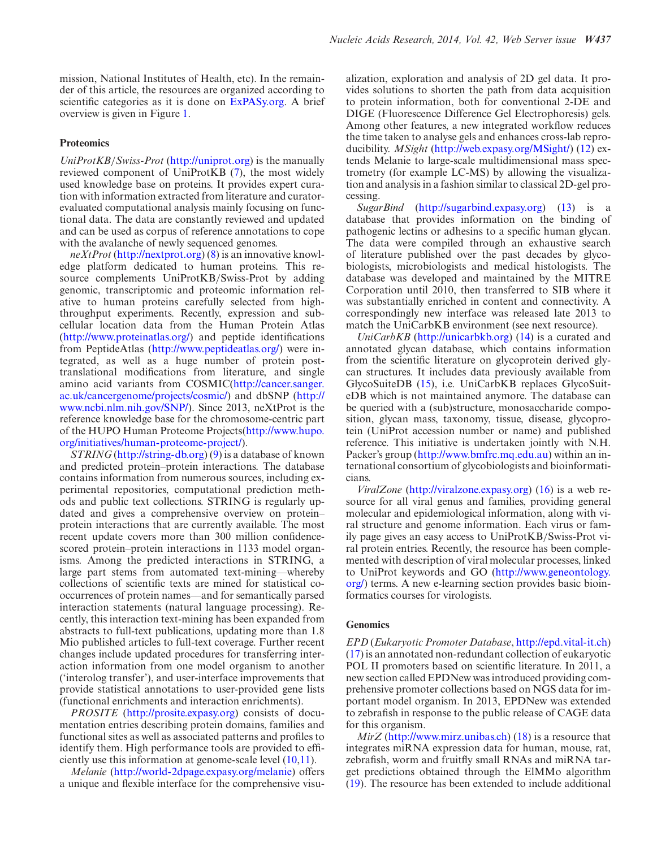mission, National Institutes of Health, etc). In the remainder of this article, the resources are organized according to scientific categories as it is done on [ExPASy.org.](http://ExPASy.org) A brief overview is given in Figure [1.](#page-2-0)

#### **Proteomics**

*UniProtKB*/*Swiss-Prot* [\(http://uniprot.org\)](http://uniprot.org) is the manually reviewed component of UniProtKB [\(7\)](#page-4-0), the most widely used knowledge base on proteins. It provides expert curation with information extracted from literature and curatorevaluated computational analysis mainly focusing on functional data. The data are constantly reviewed and updated and can be used as corpus of reference annotations to cope with the avalanche of newly sequenced genomes.

*neXtProt* [\(http://nextprot.org\)](http://nextprot.org) [\(8\)](#page-4-0) is an innovative knowledge platform dedicated to human proteins. This resource complements UniProtKB/Swiss-Prot by adding genomic, transcriptomic and proteomic information relative to human proteins carefully selected from highthroughput experiments. Recently, expression and subcellular location data from the Human Protein Atlas [\(http://www.proteinatlas.org/\)](http://www.proteinatlas.org/) and peptide identifications from PeptideAtlas [\(http://www.peptideatlas.org/\)](http://www.peptideatlas.org/) were integrated, as well as a huge number of protein posttranslational modifications from literature, and single amino acid variants from COSMIC(http://cancer.sanger. [ac.uk/cancergenome/projects/cosmic/\) and dbSNP \(http://](http://cancer.sanger.ac.uk/cancergenome/projects/cosmic/) [www.ncbi.nlm.nih.gov/SNP/\). Since 2013, neXtProt is the](http://www.ncbi.nlm.nih.gov/SNP/) reference knowledge base for the chromosome-centric part [of the HUPO Human Proteome Projects\(http://www.hupo.](http://www.hupo.org/initiatives/human-proteome-project/) org/initiatives/human-proteome-project/).

*STRING* [\(http://string-db.org\)](http://string-db.org) [\(9\)](#page-4-0) is a database of known and predicted protein–protein interactions. The database contains information from numerous sources, including experimental repositories, computational prediction methods and public text collections. STRING is regularly updated and gives a comprehensive overview on protein– protein interactions that are currently available. The most recent update covers more than 300 million confidencescored protein–protein interactions in 1133 model organisms. Among the predicted interactions in STRING, a large part stems from automated text-mining––whereby collections of scientific texts are mined for statistical cooccurrences of protein names––and for semantically parsed interaction statements (natural language processing). Recently, this interaction text-mining has been expanded from abstracts to full-text publications, updating more than 1.8 Mio published articles to full-text coverage. Further recent changes include updated procedures for transferring interaction information from one model organism to another ('interolog transfer'), and user-interface improvements that provide statistical annotations to user-provided gene lists (functional enrichments and interaction enrichments).

*PROSITE* [\(http://prosite.expasy.org\)](http://prosite.expasy.org) consists of documentation entries describing protein domains, families and functional sites as well as associated patterns and profiles to identify them. High performance tools are provided to efficiently use this information at genome-scale level [\(10,11\)](#page-4-0).

*Melanie* [\(http://world-2dpage.expasy.org/melanie\)](http://world-2dpage.expasy.org/melanie) offers a unique and flexible interface for the comprehensive visualization, exploration and analysis of 2D gel data. It provides solutions to shorten the path from data acquisition to protein information, both for conventional 2-DE and DIGE (Fluorescence Difference Gel Electrophoresis) gels. Among other features, a new integrated workflow reduces the time taken to analyse gels and enhances cross-lab reproducibility. *MSight* [\(http://web.expasy.org/MSight/\)](http://web.expasy.org/MSight/) [\(12\)](#page-4-0) extends Melanie to large-scale multidimensional mass spectrometry (for example LC-MS) by allowing the visualization and analysis in a fashion similar to classical 2D-gel processing.

*SugarBind* [\(http://sugarbind.expasy.org\)](http://sugarbind.expasy.org) [\(13\)](#page-4-0) is a database that provides information on the binding of pathogenic lectins or adhesins to a specific human glycan. The data were compiled through an exhaustive search of literature published over the past decades by glycobiologists, microbiologists and medical histologists. The database was developed and maintained by the MITRE Corporation until 2010, then transferred to SIB where it was substantially enriched in content and connectivity. A correspondingly new interface was released late 2013 to match the UniCarbKB environment (see next resource).

*UniCarbKB* [\(http://unicarbkb.org\)](http://unicarbkb.org) [\(14\)](#page-4-0) is a curated and annotated glycan database, which contains information from the scientific literature on glycoprotein derived glycan structures. It includes data previously available from GlycoSuiteDB [\(15\)](#page-4-0), i.e. UniCarbKB replaces GlycoSuiteDB which is not maintained anymore. The database can be queried with a (sub)structure, monosaccharide composition, glycan mass, taxonomy, tissue, disease, glycoprotein (UniProt accession number or name) and published reference. This initiative is undertaken jointly with N.H. Packer's group [\(http://www.bmfrc.mq.edu.au\)](http://www.bmfrc.mq.edu.au) within an international consortium of glycobiologists and bioinformaticians.

*ViralZone* [\(http://viralzone.expasy.org\)](http://viralzone.expasy.org) [\(16\)](#page-4-0) is a web resource for all viral genus and families, providing general molecular and epidemiological information, along with viral structure and genome information. Each virus or family page gives an easy access to UniProtKB/Swiss-Prot viral protein entries. Recently, the resource has been complemented with description of viral molecular processes, linked [to UniProt keywords and GO \(http://www.geneontology.](http:///www.geneontology.org/) org/) terms. A new e-learning section provides basic bioinformatics courses for virologists.

#### **Genomics**

*EPD* (*Eukaryotic Promoter Database*, [http://epd.vital-it.ch\)](http://epd.vital-it.ch) [\(17\)](#page-4-0) is an annotated non-redundant collection of eukaryotic POL II promoters based on scientific literature. In 2011, a new section called EPDNew was introduced providing comprehensive promoter collections based on NGS data for important model organism. In 2013, EPDNew was extended to zebrafish in response to the public release of CAGE data for this organism.

*MirZ* [\(http://www.mirz.unibas.ch\)](http://www.mirz.unibas.ch) [\(18\)](#page-4-0) is a resource that integrates miRNA expression data for human, mouse, rat, zebrafish, worm and fruitfly small RNAs and miRNA target predictions obtained through the ElMMo algorithm [\(19\)](#page-4-0). The resource has been extended to include additional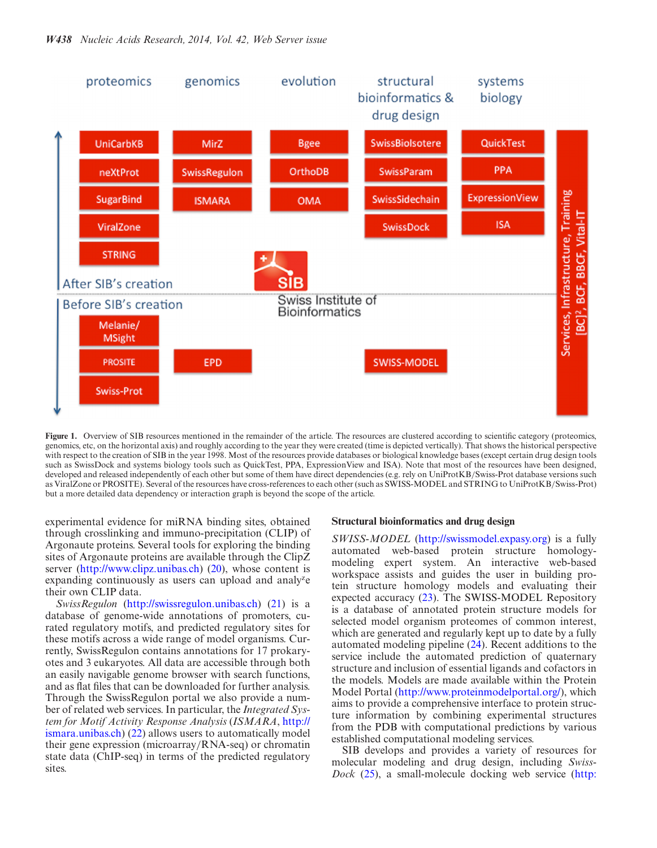<span id="page-2-0"></span>

Figure 1. Overview of SIB resources mentioned in the remainder of the article. The resources are clustered according to scientific category (proteomics, genomics, etc, on the horizontal axis) and roughly according to the year they were created (time is depicted vertically). That shows the historical perspective with respect to the creation of SIB in the year 1998. Most of the resources provide databases or biological knowledge bases (except certain drug design tools such as SwissDock and systems biology tools such as QuickTest, PPA, ExpressionView and ISA). Note that most of the resources have been designed, developed and released independently of each other but some of them have direct dependencies (e.g. rely on UniProtKB/Swiss-Prot database versions such as ViralZone or PROSITE). Several of the resources have cross-references to each other (such as SWISS-MODEL and STRING to UniProtKB/Swiss-Prot) but a more detailed data dependency or interaction graph is beyond the scope of the article.

experimental evidence for miRNA binding sites, obtained through crosslinking and immuno-precipitation (CLIP) of Argonaute proteins. Several tools for exploring the binding sites of Argonaute proteins are available through the ClipZ server [\(http://www.clipz.unibas.ch\)](http://www.clipz.unibas.ch) [\(20\)](#page-4-0), whose content is expanding continuously as users can upload and analy<sup>z</sup>e their own CLIP data.

*SwissRegulon* [\(http://swissregulon.unibas.ch\)](http://swissregulon.unibas.ch) [\(21\)](#page-4-0) is a database of genome-wide annotations of promoters, curated regulatory motifs, and predicted regulatory sites for these motifs across a wide range of model organisms. Currently, SwissRegulon contains annotations for 17 prokaryotes and 3 eukaryotes. All data are accessible through both an easily navigable genome browser with search functions, and as flat files that can be downloaded for further analysis. Through the SwissRegulon portal we also provide a number of related web services. In particular, the *Integrated System for Motif Activity Response Analysis* (*ISMARA*, http:// [ismara.unibas.ch\) \(22\) allows users to automatically model](http://ismara.unibas.ch) their gene expression (microarray/RNA-seq) or chromatin state data (ChIP-seq) in terms of the predicted regulatory sites.

#### **Structural bioinformatics and drug design**

*SWISS-MODEL* [\(http://swissmodel.expasy.org\)](http://swissmodel.expasy.org) is a fully automated web-based protein structure homologymodeling expert system. An interactive web-based workspace assists and guides the user in building protein structure homology models and evaluating their expected accuracy [\(23\)](#page-4-0). The SWISS-MODEL Repository is a database of annotated protein structure models for selected model organism proteomes of common interest, which are generated and regularly kept up to date by a fully automated modeling pipeline [\(24\)](#page-4-0). Recent additions to the service include the automated prediction of quaternary structure and inclusion of essential ligands and cofactors in the models. Models are made available within the Protein Model Portal [\(http://www.proteinmodelportal.org/\)](http://www.proteinmodelportal.org/), which aims to provide a comprehensive interface to protein structure information by combining experimental structures from the PDB with computational predictions by various established computational modeling services.

SIB develops and provides a variety of resources for molecular modeling and drug design, including *Swiss-Dock* [\(25\)](#page-4-0), a small-molecule docking web service [\(http:](http://www.swissdock.ch)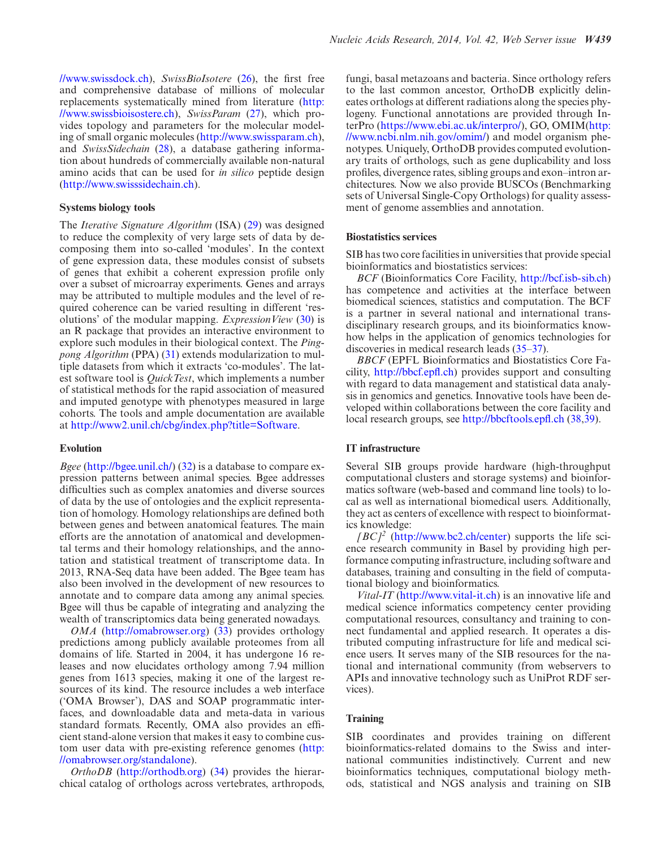[//www.swissdock.ch\)](http://www.swissdock.ch), *SwissBioIsotere* [\(26\)](#page-4-0), the first free and comprehensive database of millions of molecular [replacements systematically mined from literature \(http:](http://www.swissbioisostere.ch) //www.swissbioisostere.ch), *SwissParam* [\(27\)](#page-4-0), which provides topology and parameters for the molecular modeling of small organic molecules [\(http://www.swissparam.ch\)](http://www.swissparam.ch), and *SwissSidechain* [\(28\)](#page-4-0), a database gathering information about hundreds of commercially available non-natural amino acids that can be used for *in silico* peptide design [\(http://www.swisssidechain.ch\)](http://www.swisssidechain.ch).

## **Systems biology tools**

The *Iterative Signature Algorithm* (ISA) [\(29\)](#page-4-0) was designed to reduce the complexity of very large sets of data by decomposing them into so-called 'modules'. In the context of gene expression data, these modules consist of subsets of genes that exhibit a coherent expression profile only over a subset of microarray experiments. Genes and arrays may be attributed to multiple modules and the level of required coherence can be varied resulting in different 'resolutions' of the modular mapping. *ExpressionView* [\(30\)](#page-4-0) is an R package that provides an interactive environment to explore such modules in their biological context. The *Pingpong Algorithm* (PPA) [\(31\)](#page-4-0) extends modularization to multiple datasets from which it extracts 'co-modules'. The latest software tool is *QuickTest*, which implements a number of statistical methods for the rapid association of measured and imputed genotype with phenotypes measured in large cohorts. The tools and ample documentation are available at [http://www2.unil.ch/cbg/index.php?title=Software.](http://www2.unil.ch/cbg/index.php?title=Software)

## **Evolution**

*Bgee* [\(http://bgee.unil.ch/\)](http://bgee.unil.ch/) [\(32\)](#page-5-0) is a database to compare expression patterns between animal species. Bgee addresses difficulties such as complex anatomies and diverse sources of data by the use of ontologies and the explicit representation of homology. Homology relationships are defined both between genes and between anatomical features. The main efforts are the annotation of anatomical and developmental terms and their homology relationships, and the annotation and statistical treatment of transcriptome data. In 2013, RNA-Seq data have been added. The Bgee team has also been involved in the development of new resources to annotate and to compare data among any animal species. Bgee will thus be capable of integrating and analyzing the wealth of transcriptomics data being generated nowadays.

*OMA* [\(http://omabrowser.org\)](http://omabrowser.org) [\(33\)](#page-5-0) provides orthology predictions among publicly available proteomes from all domains of life. Started in 2004, it has undergone 16 releases and now elucidates orthology among 7.94 million genes from 1613 species, making it one of the largest resources of its kind. The resource includes a web interface ('OMA Browser'), DAS and SOAP programmatic interfaces, and downloadable data and meta-data in various standard formats. Recently, OMA also provides an efficient stand-alone version that makes it easy to combine cus[tom user data with pre-existing reference genomes \(http:](http://omabrowser.org/standalone) //omabrowser.org/standalone).

*OrthoDB* [\(http://orthodb.org\)](http://orthodb.org) [\(34\)](#page-5-0) provides the hierarchical catalog of orthologs across vertebrates, arthropods, fungi, basal metazoans and bacteria. Since orthology refers to the last common ancestor, OrthoDB explicitly delineates orthologs at different radiations along the species phylogeny. Functional annotations are provided through In[terPro \(](http://www.ncbi.nlm.nih.gov/omim/)[https://www.ebi.ac.uk/interpro/](http://www.ebi.ac.uk/interpro/)[\), GO, OMIM\(http:](http://www.ncbi.nlm.nih.gov/omim/) //www.ncbi.nlm.nih.gov/omim/) and model organism phenotypes. Uniquely, OrthoDB provides computed evolutionary traits of orthologs, such as gene duplicability and loss profiles, divergence rates, sibling groups and exon–intron architectures. Now we also provide BUSCOs (Benchmarking sets of Universal Single-Copy Orthologs) for quality assessment of genome assemblies and annotation.

# **Biostatistics services**

SIB has two core facilities in universities that provide special bioinformatics and biostatistics services:

*BCF* (Bioinformatics Core Facility, [http://bcf.isb-sib.ch\)](http://bcf.isb-sib.ch) has competence and activities at the interface between biomedical sciences, statistics and computation. The BCF is a partner in several national and international transdisciplinary research groups, and its bioinformatics knowhow helps in the application of genomics technologies for discoveries in medical research leads [\(35–37\)](#page-5-0).

*BBCF* (EPFL Bioinformatics and Biostatistics Core Facility, [http://bbcf.epfl.ch\)](http://bbcf.epfl.ch) provides support and consulting with regard to data management and statistical data analysis in genomics and genetics. Innovative tools have been developed within collaborations between the core facility and local research groups, see <http://bbcftools.epfl.ch> [\(38,39\)](#page-5-0).

# **IT infrastructure**

Several SIB groups provide hardware (high-throughput computational clusters and storage systems) and bioinformatics software (web-based and command line tools) to local as well as international biomedical users. Additionally, they act as centers of excellence with respect to bioinformatics knowledge:

 $[BC]^2$  [\(http://www.bc2.ch/center\)](http://www.bc2.ch/center) supports the life science research community in Basel by providing high performance computing infrastructure, including software and databases, training and consulting in the field of computational biology and bioinformatics.

*Vital-IT* [\(http://www.vital-it.ch\)](http://www.vital-it.ch) is an innovative life and medical science informatics competency center providing computational resources, consultancy and training to connect fundamental and applied research. It operates a distributed computing infrastructure for life and medical science users. It serves many of the SIB resources for the national and international community (from webservers to APIs and innovative technology such as UniProt RDF services).

# **Training**

SIB coordinates and provides training on different bioinformatics-related domains to the Swiss and international communities indistinctively. Current and new bioinformatics techniques, computational biology methods, statistical and NGS analysis and training on SIB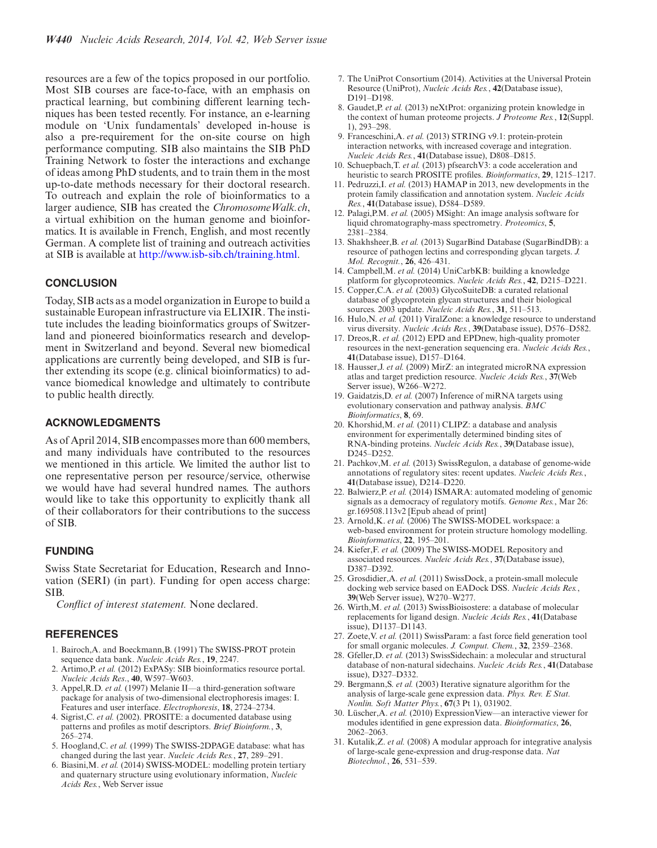<span id="page-4-0"></span>resources are a few of the topics proposed in our portfolio. Most SIB courses are face-to-face, with an emphasis on practical learning, but combining different learning techniques has been tested recently. For instance, an e-learning module on 'Unix fundamentals' developed in-house is also a pre-requirement for the on-site course on high performance computing. SIB also maintains the SIB PhD Training Network to foster the interactions and exchange of ideas among PhD students, and to train them in the most up-to-date methods necessary for their doctoral research. To outreach and explain the role of bioinformatics to a larger audience, SIB has created the *ChromosomeWalk.ch*, a virtual exhibition on the human genome and bioinformatics. It is available in French, English, and most recently German. A complete list of training and outreach activities at SIB is available at [http://www.isb-sib.ch/training.html.](http://www.isb-sib.ch/training.html)

## **CONCLUSION**

Today, SIB acts as a model organization in Europe to build a sustainable European infrastructure via ELIXIR. The institute includes the leading bioinformatics groups of Switzerland and pioneered bioinformatics research and development in Switzerland and beyond. Several new biomedical applications are currently being developed, and SIB is further extending its scope (e.g. clinical bioinformatics) to advance biomedical knowledge and ultimately to contribute to public health directly.

## **ACKNOWLEDGMENTS**

As of April 2014, SIB encompasses more than 600 members, and many individuals have contributed to the resources we mentioned in this article. We limited the author list to one representative person per resource/service, otherwise we would have had several hundred names. The authors would like to take this opportunity to explicitly thank all of their collaborators for their contributions to the success of SIB.

#### **FUNDING**

Swiss State Secretariat for Education, Research and Innovation (SERI) (in part). Funding for open access charge: SIB.

*Conflict of interest statement.* None declared.

#### **REFERENCES**

- 1. Bairoch,A. and Boeckmann,B. (1991) The SWISS-PROT protein sequence data bank. *Nucleic Acids Res.*, **19**, 2247.
- 2. Artimo,P. *et al.* (2012) ExPASy: SIB bioinformatics resource portal. *Nucleic Acids Res*., **40**, W597–W603.
- 3. Appel,R.D. *et al.* (1997) Melanie II––a third-generation software package for analysis of two-dimensional electrophoresis images: I. Features and user interface. *Electrophoresis*, **18**, 2724–2734.
- 4. Sigrist,C. *et al.* (2002). PROSITE: a documented database using patterns and profiles as motif descriptors. *Brief Bioinform.*, **3**, 265–274.
- 5. Hoogland,C. *et al.* (1999) The SWISS-2DPAGE database: what has changed during the last year. *Nucleic Acids Res.*, **27**, 289–291.
- 6. Biasini,M. *et al.* (2014) SWISS-MODEL: modelling protein tertiary and quaternary structure using evolutionary information, *Nucleic Acids Res.*, Web Server issue
- 7. The UniProt Consortium (2014). Activities at the Universal Protein Resource (UniProt), *Nucleic Acids Res.*, **42**(Database issue), D191–D198.
- 8. Gaudet,P. *et al.* (2013) neXtProt: organizing protein knowledge in the context of human proteome projects. *J Proteome Res.*, **12**(Suppl. 1), 293–298.
- 9. Franceschini,A. *et al.* (2013) STRING v9.1: protein-protein interaction networks, with increased coverage and integration. *Nucleic Acids Res.*, **41**(Database issue), D808–D815.
- 10. Schuepbach,T. *et al.* (2013) pfsearchV3: a code acceleration and heuristic to search PROSITE profiles. *Bioinformatics*, **29**, 1215–1217.
- 11. Pedruzzi,I. *et al.* (2013) HAMAP in 2013, new developments in the protein family classification and annotation system. *Nucleic Acids Res.*, **41**(Database issue), D584–D589.
- 12. Palagi,P.M. *et al.* (2005) MSight: An image analysis software for liquid chromatography-mass spectrometry. *Proteomics*, **5**, 2381–2384.
- 13. Shakhsheer,B. *et al.* (2013) SugarBind Database (SugarBindDB): a resource of pathogen lectins and corresponding glycan targets. *J. Mol. Recognit.*, **26**, 426–431.
- 14. Campbell,M. *et al.* (2014) UniCarbKB: building a knowledge platform for glycoproteomics. *Nucleic Acids Res.*, **42**, D215–D221.
- 15. Copper,C.A. *et al.* (2003) GlycoSuiteDB: a curated relational database of glycoprotein glycan structures and their biological sources. 2003 update. *Nucleic Acids Res.*, **31**, 511–513.
- 16. Hulo,N. *et al.* (2011) ViralZone: a knowledge resource to understand virus diversity. *Nucleic Acids Res.*, **39**(Database issue), D576–D582.
- 17. Dreos,R. *et al.* (2012) EPD and EPDnew, high-quality promoter resources in the next-generation sequencing era. *Nucleic Acids Res.*, **41**(Database issue), D157–D164.
- 18. Hausser,J. *et al.* (2009) MirZ: an integrated microRNA expression atlas and target prediction resource. *Nucleic Acids Res.*, **37**(Web Server issue), W266–W272.
- 19. Gaidatzis,D. *et al.* (2007) Inference of miRNA targets using evolutionary conservation and pathway analysis. *BMC Bioinformatics*, **8**, 69.
- 20. Khorshid,M. *et al.* (2011) CLIPZ: a database and analysis environment for experimentally determined binding sites of RNA-binding proteins. *Nucleic Acids Res.*, **39**(Database issue), D245–D252.
- 21. Pachkov,M. *et al.* (2013) SwissRegulon, a database of genome-wide annotations of regulatory sites: recent updates. *Nucleic Acids Res.*, **41**(Database issue), D214–D220.
- 22. Balwierz,P. *et al.* (2014) ISMARA: automated modeling of genomic signals as a democracy of regulatory motifs. *Genome Res.*, Mar 26: gr.169508.113v2 [Epub ahead of print]
- 23. Arnold,K. *et al.* (2006) The SWISS-MODEL workspace: a web-based environment for protein structure homology modelling. *Bioinformatics*, **22**, 195–201.
- 24. Kiefer,F. *et al.* (2009) The SWISS-MODEL Repository and associated resources. *Nucleic Acids Res.*, **37**(Database issue), D387–D392.
- 25. Grosdidier,A. *et al.* (2011) SwissDock, a protein-small molecule docking web service based on EADock DSS. *Nucleic Acids Res.*, **39**(Web Server issue), W270–W277.
- 26. Wirth,M. *et al.* (2013) SwissBioisostere: a database of molecular replacements for ligand design. *Nucleic Acids Res.*, **41**(Database issue), D1137–D1143.
- 27. Zoete,V. *et al.* (2011) SwissParam: a fast force field generation tool for small organic molecules. *J. Comput. Chem.*, **32**, 2359–2368.
- 28. Gfeller,D. *et al.* (2013) SwissSidechain: a molecular and structural database of non-natural sidechains. *Nucleic Acids Res.*, **41**(Database issue), D327–D332.
- 29. Bergmann,S. *et al.* (2003) Iterative signature algorithm for the analysis of large-scale gene expression data. *Phys. Rev. E Stat. Nonlin. Soft Matter Phys.*, **67**(3 Pt 1), 031902.
- 30. Lüscher, A. et al. (2010) Expression View-an interactive viewer for modules identified in gene expression data. *Bioinformatics*, **26**, 2062–2063.
- 31. Kutalik,Z. *et al.* (2008) A modular approach for integrative analysis of large-scale gene-expression and drug-response data. *Nat Biotechnol.*, **26**, 531–539.